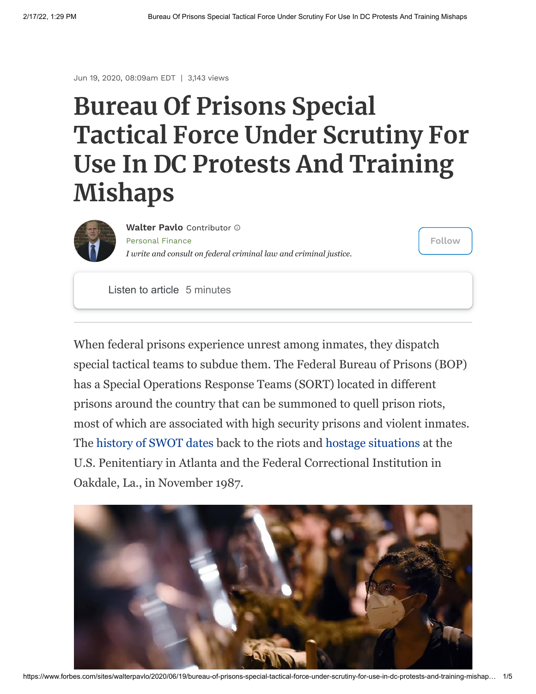Jun 19, 2020, 08:09am EDT | 3,143 views

## **Bureau Of Prisons Special Tactical Force Under Scrutiny For Use In DC Protests And Training Mishaps**



[Personal](https://www.forbes.com/personal-finance) Finance *I write and consult on federal criminal law and criminal justice.* **[Walter](https://www.forbes.com/sites/walterpavlo/) Pavlo** Contributor

**Follow**

Listen to article 5 minutes

When federal prisons experience unrest among inmates, they dispatch special tactical teams to subdue them. The Federal Bureau of Prisons (BOP) has a Special Operations Response Teams (SORT) located in different prisons around the country that can be summoned to quell prison riots, most of which are associated with high security prisons and violent inmates. The [history of SWOT dates](https://special-ops.org/federal-bop-special-operations-and-response-teams-sort/) back to the riots and [hostage situations](https://www.nytimes.com/1987/12/04/us/cubans-end-11-day-prison-siege-in-atlanta-freeing-all-hostages.html) at the U.S. Penitentiary in Atlanta and the Federal Correctional Institution in Oakdale, La., in November 1987.

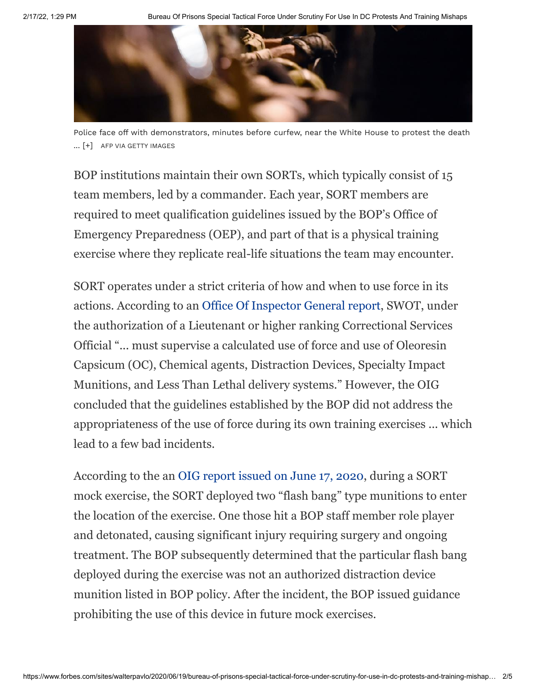

Police face off with demonstrators, minutes before curfew, near the White House to protest the death ... [+] AFP VIA GETTY IMAGES

BOP institutions maintain their own SORTs, which typically consist of 15 team members, led by a commander. Each year, SORT members are required to meet qualification guidelines issued by the BOP's Office of Emergency Preparedness (OEP), and part of that is a physical training exercise where they replicate real-life situations the team may encounter.

SORT operates under a strict criteria of how and when to use force in its actions. According to an [Office Of Inspector General report,](https://assets.documentcloud.org/documents/6951523/SORT.pdf) SWOT, under the authorization of a Lieutenant or higher ranking Correctional Services Official "... must supervise a calculated use of force and use of Oleoresin Capsicum (OC), Chemical agents, Distraction Devices, Specialty Impact Munitions, and Less Than Lethal delivery systems." However, the OIG concluded that the guidelines established by the BOP did not address the appropriateness of the use of force during its own training exercises ... which lead to a few bad incidents.

According to the an [OIG report issued on June 17, 2020](https://assets.documentcloud.org/documents/6951523/SORT.pdf), during a SORT mock exercise, the SORT deployed two "flash bang" type munitions to enter the location of the exercise. One those hit a BOP staff member role player and detonated, causing significant injury requiring surgery and ongoing treatment. The BOP subsequently determined that the particular flash bang deployed during the exercise was not an authorized distraction device munition listed in BOP policy. After the incident, the BOP issued guidance prohibiting the use of this device in future mock exercises.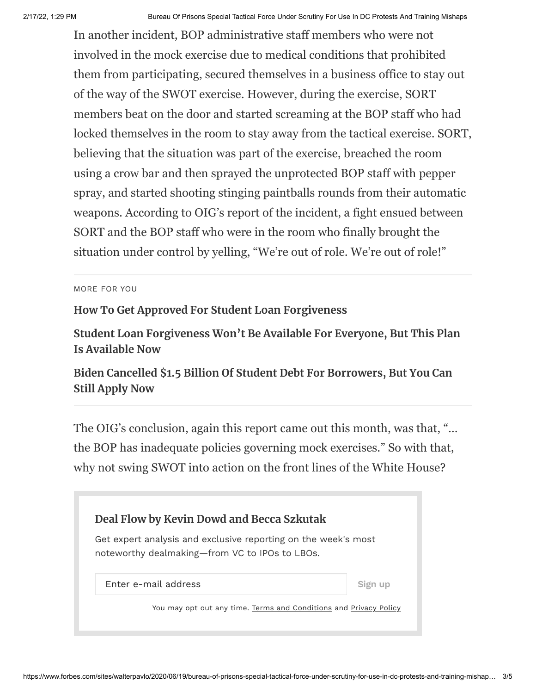In another incident, BOP administrative staff members who were not involved in the mock exercise due to medical conditions that prohibited them from participating, secured themselves in a business office to stay out of the way of the SWOT exercise. However, during the exercise, SORT members beat on the door and started screaming at the BOP staff who had locked themselves in the room to stay away from the tactical exercise. SORT, believing that the situation was part of the exercise, breached the room using a crow bar and then sprayed the unprotected BOP staff with pepper spray, and started shooting stinging paintballs rounds from their automatic weapons. According to OIG's report of the incident, a fight ensued between SORT and the BOP staff who were in the room who finally brought the situation under control by yelling, "We're out of role. We're out of role!"

MORE FOR YOU

## **[How To Get Approved For Student Loan Forgiveness](https://www.forbes.com/sites/zackfriedman/2021/09/23/why-4500-teachers-got-rejected-for-student-loan-forgiveness/)**

**[Student Loan Forgiveness Won't Be Available For Everyone, But This Plan](https://www.forbes.com/sites/zackfriedman/2021/09/27/student-loan-forgiveness-wont-be-available-for-everyone-but-this-plan-is/) Is Available Now**

**[Biden Cancelled \\$1.5 Billion Of Student Debt For Borrowers, But You Can](https://www.forbes.com/sites/zackfriedman/2021/09/18/biden-cancelled-15-billion-of-student-debt-for-borrowers-but-you-can-still-apply-now/) Still Apply Now**

The OIG's conclusion, again this report came out this month, was that, "... the BOP has inadequate policies governing mock exercises." So with that, why not swing SWOT into action on the front lines of the White House?

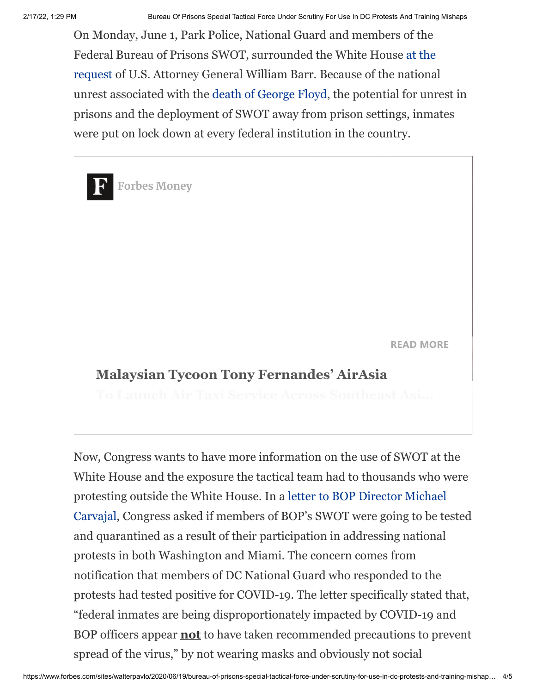On Monday, June 1, Park Police, National Guard and members of the Federal Bureau of Prisons SWOT, surrounded the White House at the [request of U.S. Attorney General William Barr. Because of the nationa](https://www.dallasnews.com/news/investigations/2020/06/05/riot-forces-at-white-house-include-tactical-teams-wearing-insignia-from-texas-federal-prisons/)l unrest associated with the [death of George Floyd,](https://www.nytimes.com/article/george-floyd-who-is.html) the potential for unrest in prisons and the deployment of SWOT away from prison settings, inmates were put on lock down at every federal institution in the country.

**READ [MORE](https://www.forbes.com/sites/jonathanburgos/2022/02/17/malaysian-tycoon-tony-fernandes-airasia-to-launch-air-taxi-service-across-southeast-asia-by-2025/?traffic_source=Connatix) Forbes Money Malaysian Tycoon Tony Fernandes' AirAsia**

Now, Congress wants to have more information on the use of SWOT at the White House and the exposure the tactical team had to thousands who were [protesting outside the White House. In a letter to BOP Director Michael](https://prisonology.com/wp-content/uploads/2020/06/COVID-19-Congress-BOP-LETTER-6-15-20.pdf) Carvajal, Congress asked if members of BOP's SWOT were going to be tested and quarantined as a result of their participation in addressing national protests in both Washington and Miami. The concern comes from notification that members of DC National Guard who responded to the protests had tested positive for COVID-19. The letter specifically stated that, "federal inmates are being disproportionately impacted by COVID-19 and BOP officers appear **not** to have taken recommended precautions to prevent spread of the virus," by not wearing masks and obviously not social